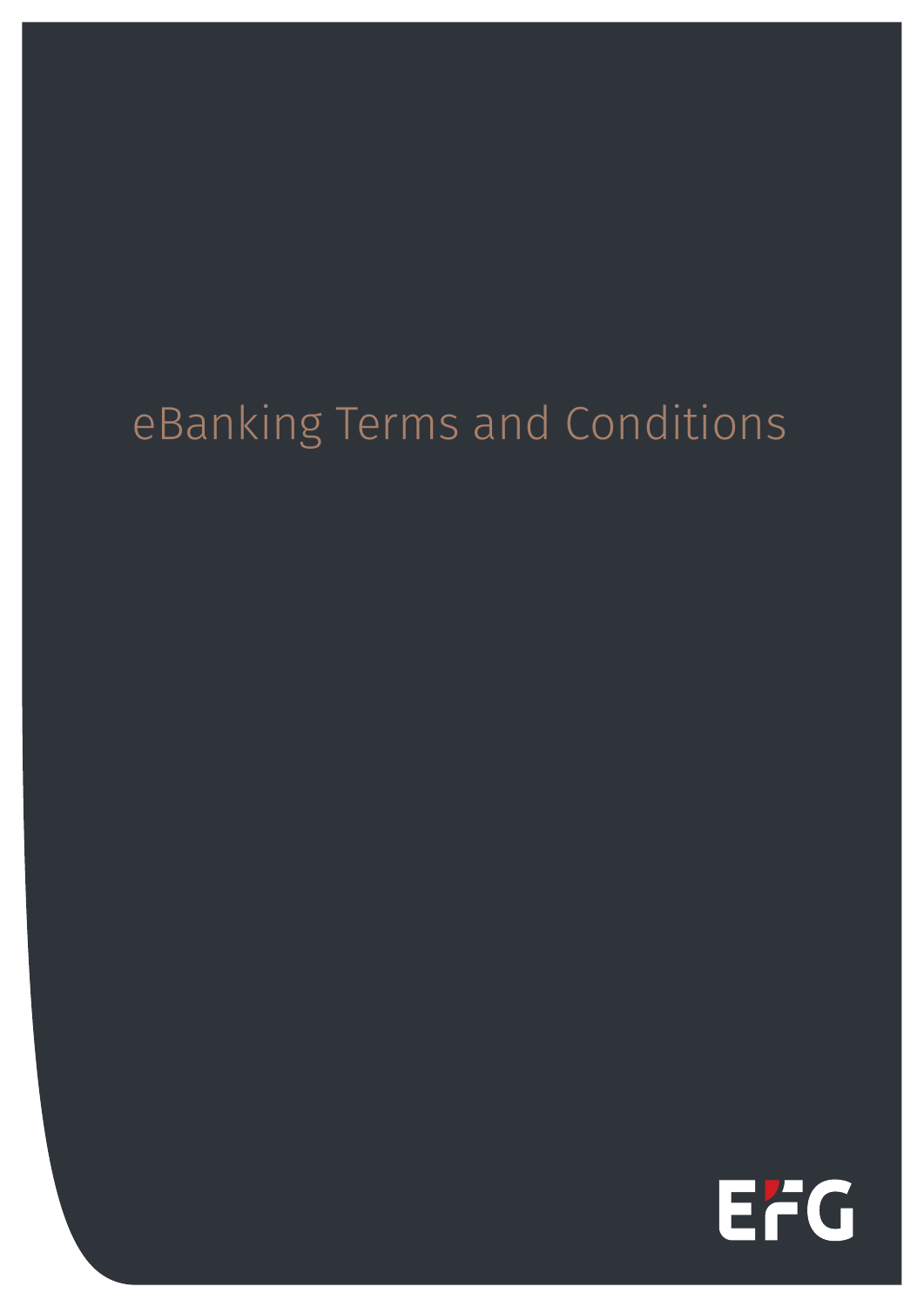# eBanking Terms and Conditions

EFG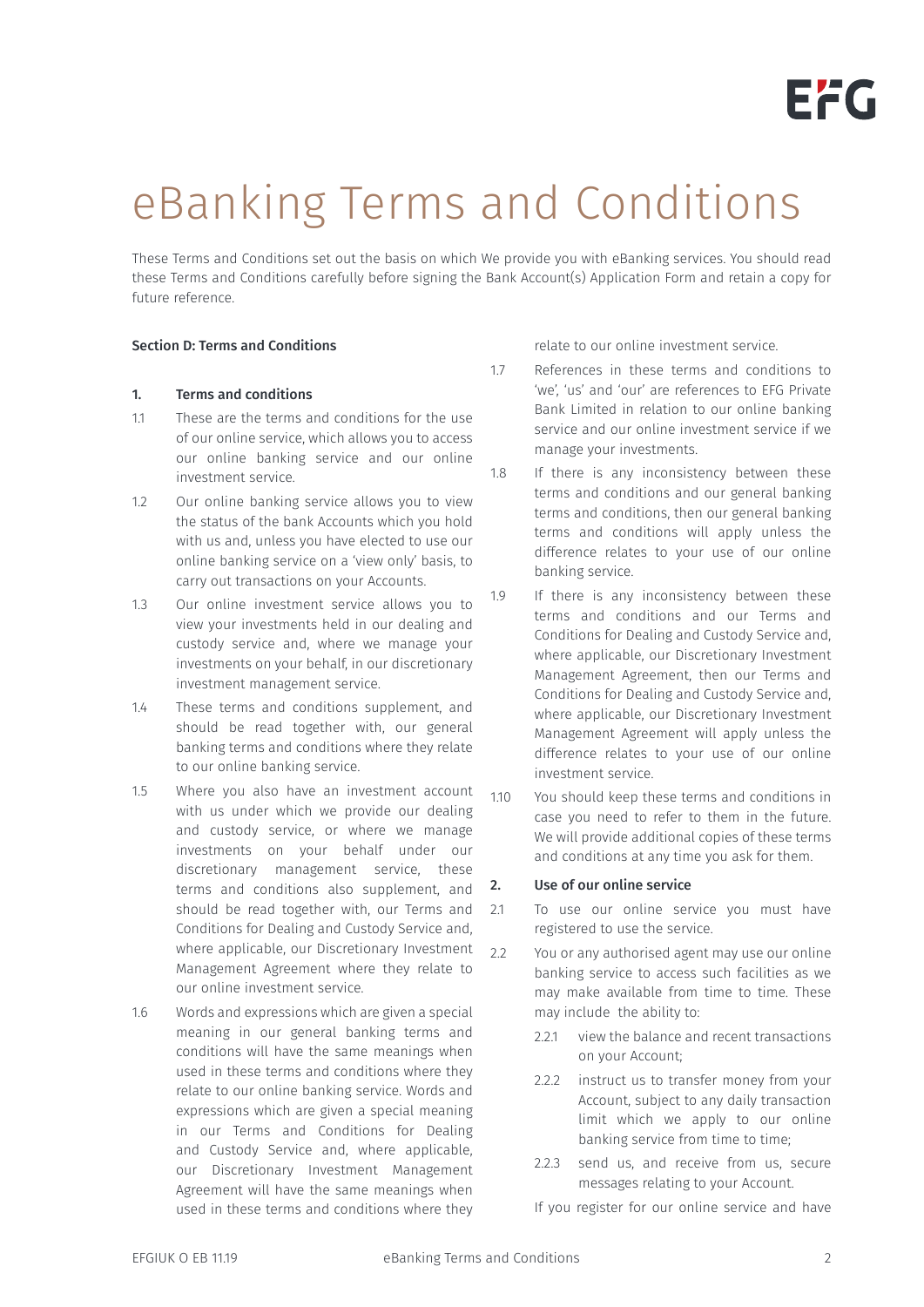# eBanking Terms and Conditions

These Terms and Conditions set out the basis on which We provide you with eBanking services. You should read these Terms and Conditions carefully before signing the Bank Account(s) Application Form and retain a copy for future reference.

# Section D: Terms and Conditions

# 1. Terms and conditions

- 1.1 These are the terms and conditions for the use of our online service, which allows you to access our online banking service and our online investment service.
- 1.2 Our online banking service allows you to view the status of the bank Accounts which you hold with us and, unless you have elected to use our online banking service on a 'view only' basis, to carry out transactions on your Accounts.
- 1.3 Our online investment service allows you to view your investments held in our dealing and custody service and, where we manage your investments on your behalf, in our discretionary investment management service.
- 1.4 These terms and conditions supplement, and should be read together with, our general banking terms and conditions where they relate to our online banking service.
- 1.5 Where you also have an investment account with us under which we provide our dealing and custody service, or where we manage investments on your behalf under our discretionary management service, these terms and conditions also supplement, and should be read together with, our Terms and Conditions for Dealing and Custody Service and, where applicable, our Discretionary Investment  $22$ Management Agreement where they relate to our online investment service.
- 1.6 Words and expressions which are given a special meaning in our general banking terms and conditions will have the same meanings when used in these terms and conditions where they relate to our online banking service. Words and expressions which are given a special meaning in our Terms and Conditions for Dealing and Custody Service and, where applicable, our Discretionary Investment Management Agreement will have the same meanings when used in these terms and conditions where they

relate to our online investment service.

- 1.7 References in these terms and conditions to 'we', 'us' and 'our' are references to EFG Private Bank Limited in relation to our online banking service and our online investment service if we manage your investments.
- 1.8 If there is any inconsistency between these terms and conditions and our general banking terms and conditions, then our general banking terms and conditions will apply unless the difference relates to your use of our online banking service.
- 1.9 If there is any inconsistency between these terms and conditions and our Terms and Conditions for Dealing and Custody Service and, where applicable, our Discretionary Investment Management Agreement, then our Terms and Conditions for Dealing and Custody Service and, where applicable, our Discretionary Investment Management Agreement will apply unless the difference relates to your use of our online investment service.
- 1.10 You should keep these terms and conditions in case you need to refer to them in the future. We will provide additional copies of these terms and conditions at any time you ask for them.

# 2. Use of our online service

- 2.1 To use our online service you must have registered to use the service.
	- You or any authorised agent may use our online banking service to access such facilities as we may make available from time to time. These may include the ability to:
		- 2.2.1 view the balance and recent transactions on your Account;
		- 2.2.2 instruct us to transfer money from your Account, subject to any daily transaction limit which we apply to our online banking service from time to time;
		- 2.2.3 send us, and receive from us, secure messages relating to your Account.
		- If you register for our online service and have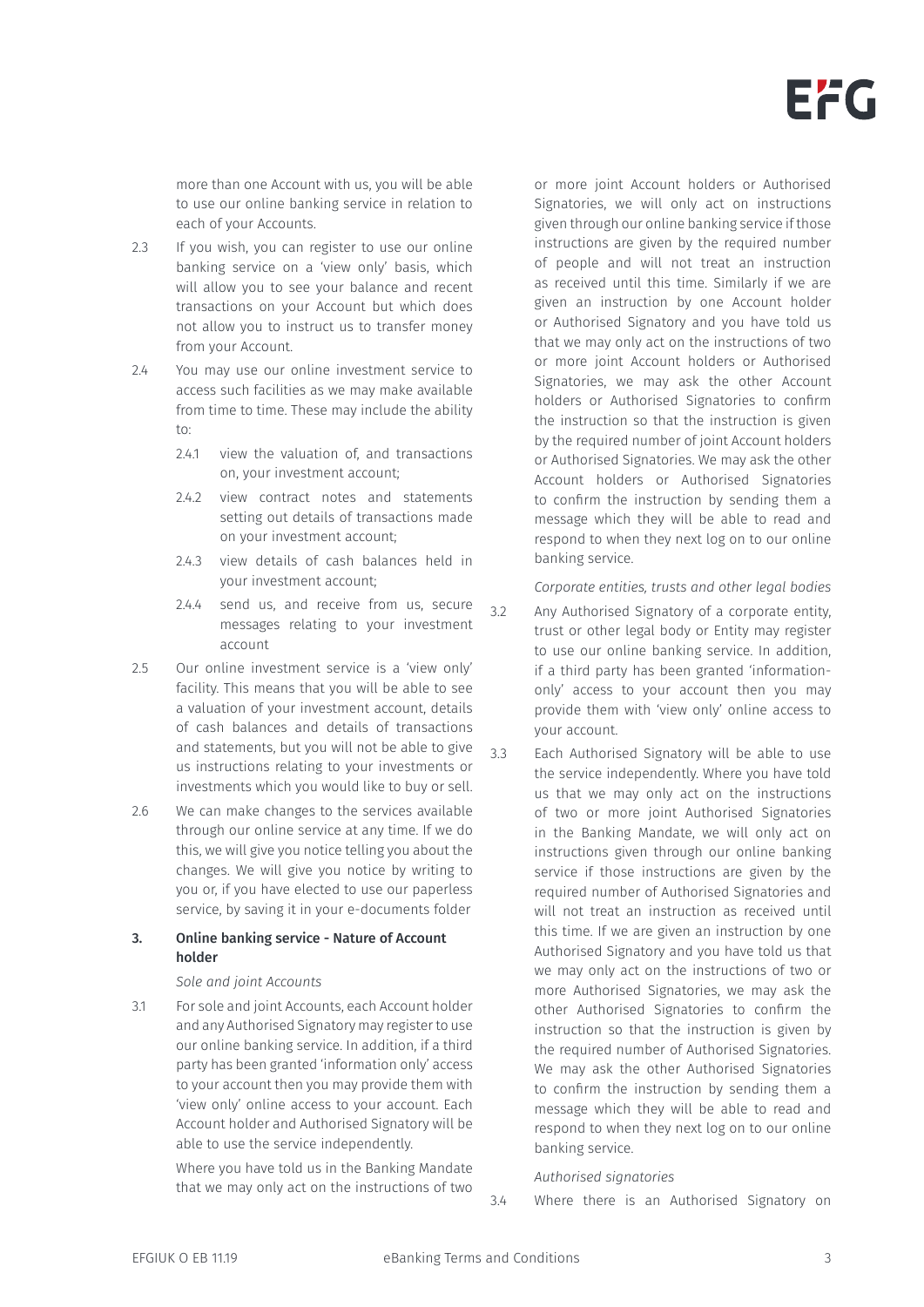

more than one Account with us, you will be able to use our online banking service in relation to each of your Accounts.

- 2.3 If you wish, you can register to use our online banking service on a 'view only' basis, which will allow you to see your balance and recent transactions on your Account but which does not allow you to instruct us to transfer money from your Account.
- 2.4 You may use our online investment service to access such facilities as we may make available from time to time. These may include the ability to:
	- 2.4.1 view the valuation of, and transactions on, your investment account;
	- 2.4.2 view contract notes and statements setting out details of transactions made on your investment account;
	- 2.4.3 view details of cash balances held in your investment account;
	- 2.4.4 send us, and receive from us, secure messages relating to your investment account
- 2.5 Our online investment service is a 'view only' facility. This means that you will be able to see a valuation of your investment account, details of cash balances and details of transactions and statements, but you will not be able to give us instructions relating to your investments or investments which you would like to buy or sell.
- 2.6 We can make changes to the services available through our online service at any time. If we do this, we will give you notice telling you about the changes. We will give you notice by writing to you or, if you have elected to use our paperless service, by saving it in your e-documents folder

### 3. Online banking service - Nature of Account holder

#### *Sole and joint Accounts*

3.1 For sole and joint Accounts, each Account holder and any Authorised Signatory may register to use our online banking service. In addition, if a third party has been granted 'information only' access to your account then you may provide them with 'view only' online access to your account. Each Account holder and Authorised Signatory will be able to use the service independently.

> Where you have told us in the Banking Mandate that we may only act on the instructions of two

or more joint Account holders or Authorised Signatories, we will only act on instructions given through our online banking service if those instructions are given by the required number of people and will not treat an instruction as received until this time. Similarly if we are given an instruction by one Account holder or Authorised Signatory and you have told us that we may only act on the instructions of two or more joint Account holders or Authorised Signatories, we may ask the other Account holders or Authorised Signatories to confirm the instruction so that the instruction is given by the required number of joint Account holders or Authorised Signatories. We may ask the other Account holders or Authorised Signatories to confirm the instruction by sending them a message which they will be able to read and respond to when they next log on to our online banking service.

#### *Corporate entities, trusts and other legal bodies*

- 3.2 Any Authorised Signatory of a corporate entity, trust or other legal body or Entity may register to use our online banking service. In addition, if a third party has been granted 'informationonly' access to your account then you may provide them with 'view only' online access to your account.
- 3.3 Each Authorised Signatory will be able to use the service independently. Where you have told us that we may only act on the instructions of two or more joint Authorised Signatories in the Banking Mandate, we will only act on instructions given through our online banking service if those instructions are given by the required number of Authorised Signatories and will not treat an instruction as received until this time. If we are given an instruction by one Authorised Signatory and you have told us that we may only act on the instructions of two or more Authorised Signatories, we may ask the other Authorised Signatories to confirm the instruction so that the instruction is given by the required number of Authorised Signatories. We may ask the other Authorised Signatories to confirm the instruction by sending them a message which they will be able to read and respond to when they next log on to our online banking service.

#### *Authorised signatories*

3.4 Where there is an Authorised Signatory on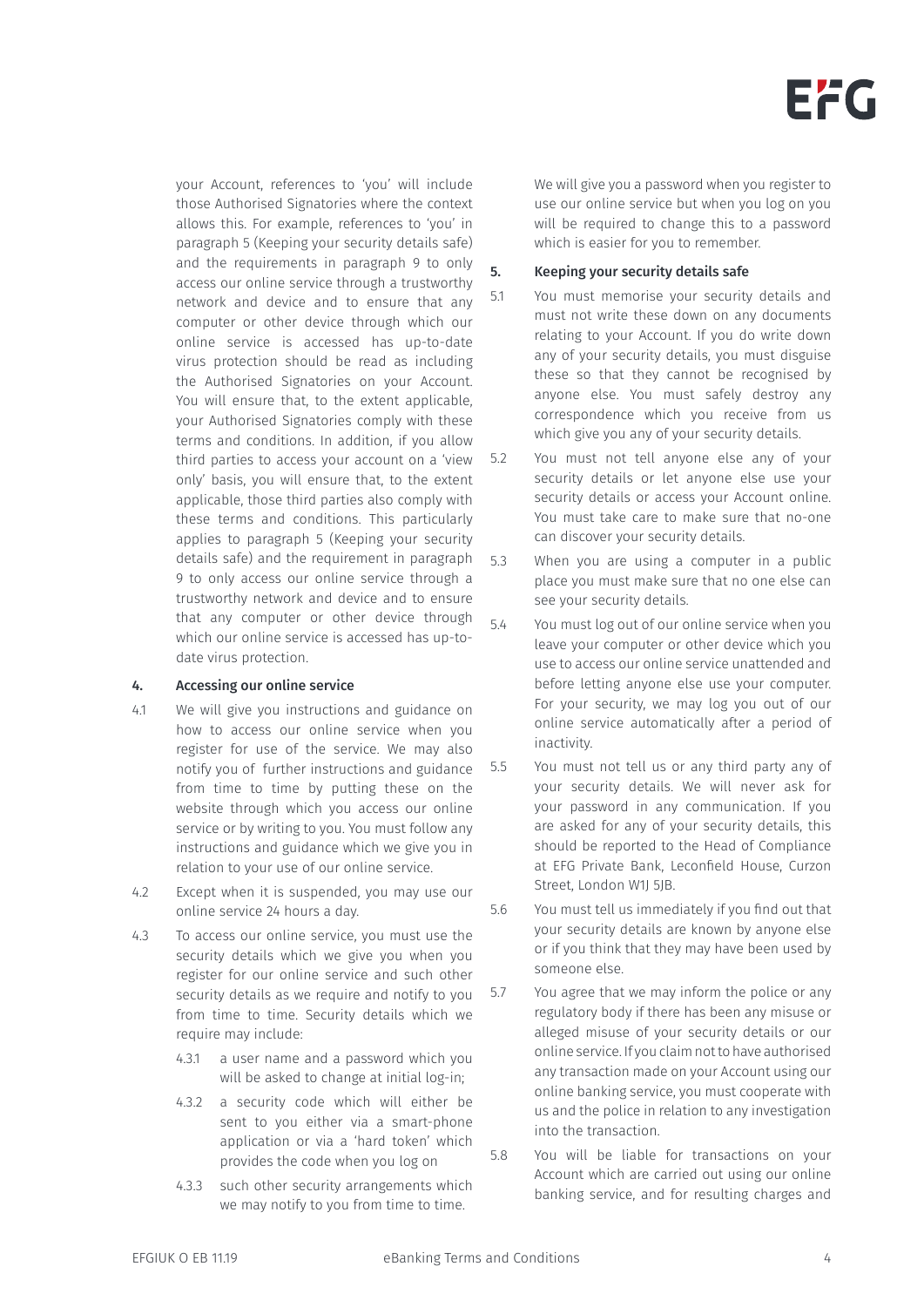your Account, references to 'you' will include those Authorised Signatories where the context allows this. For example, references to 'you' in paragraph 5 (Keeping your security details safe) and the requirements in paragraph 9 to only access our online service through a trustworthy network and device and to ensure that any computer or other device through which our online service is accessed has up-to-date virus protection should be read as including the Authorised Signatories on your Account. You will ensure that, to the extent applicable, your Authorised Signatories comply with these terms and conditions. In addition, if you allow third parties to access your account on a 'view only' basis, you will ensure that, to the extent applicable, those third parties also comply with these terms and conditions. This particularly applies to paragraph 5 (Keeping your security details safe) and the requirement in paragraph 9 to only access our online service through a trustworthy network and device and to ensure that any computer or other device through which our online service is accessed has up-todate virus protection.

#### 4. Accessing our online service

- 4.1 We will give you instructions and guidance on how to access our online service when you register for use of the service. We may also notify you of further instructions and guidance from time to time by putting these on the website through which you access our online service or by writing to you. You must follow any instructions and guidance which we give you in relation to your use of our online service.
- 4.2 Except when it is suspended, you may use our online service 24 hours a day.
- 4.3 To access our online service, you must use the security details which we give you when you register for our online service and such other security details as we require and notify to you from time to time. Security details which we require may include:
	- 4.3.1 a user name and a password which you will be asked to change at initial log-in;
	- 4.3.2 a security code which will either be sent to you either via a smart-phone application or via a 'hard token' which provides the code when you log on
	- 4.3.3 such other security arrangements which we may notify to you from time to time.

We will give you a password when you register to use our online service but when you log on you will be required to change this to a password which is easier for you to remember.

#### 5. Keeping your security details safe

- 5.1 You must memorise your security details and must not write these down on any documents relating to your Account. If you do write down any of your security details, you must disguise these so that they cannot be recognised by anyone else. You must safely destroy any correspondence which you receive from us which give you any of your security details.
- 5.2 You must not tell anyone else any of your security details or let anyone else use your security details or access your Account online. You must take care to make sure that no-one can discover your security details.
- 5.3 When you are using a computer in a public place you must make sure that no one else can see your security details.
- 5.4 You must log out of our online service when you leave your computer or other device which you use to access our online service unattended and before letting anyone else use your computer. For your security, we may log you out of our online service automatically after a period of inactivity.
- 5.5 You must not tell us or any third party any of your security details. We will never ask for your password in any communication. If you are asked for any of your security details, this should be reported to the Head of Compliance at EFG Private Bank, Leconfield House, Curzon Street, London W1J 5JB.
- 5.6 You must tell us immediately if you find out that your security details are known by anyone else or if you think that they may have been used by someone else.
- 5.7 You agree that we may inform the police or any regulatory body if there has been any misuse or alleged misuse of your security details or our online service. If you claim not to have authorised any transaction made on your Account using our online banking service, you must cooperate with us and the police in relation to any investigation into the transaction.
- 5.8 You will be liable for transactions on your Account which are carried out using our online banking service, and for resulting charges and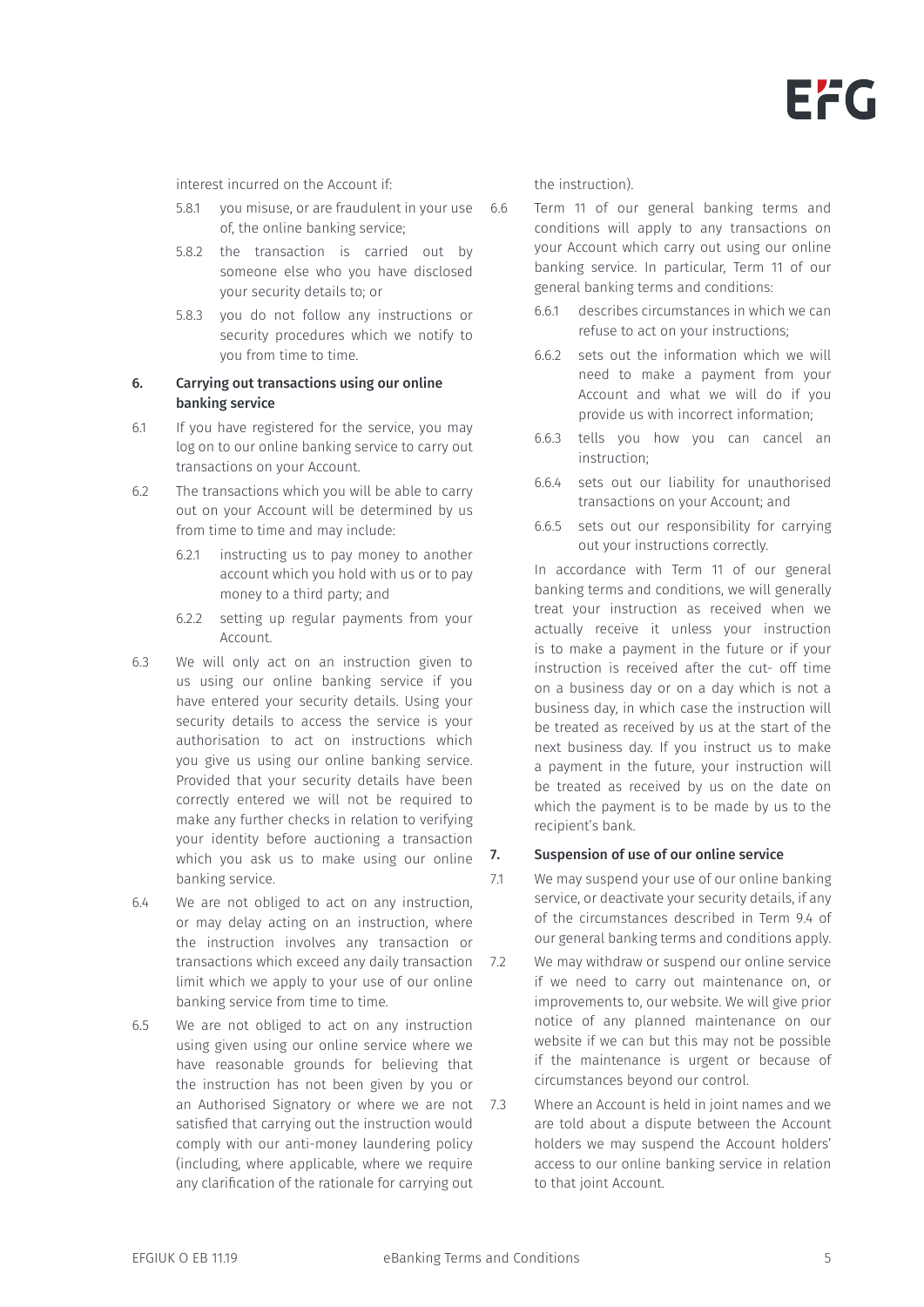interest incurred on the Account if:

- 5.8.1 you misuse, or are fraudulent in your use of, the online banking service;
- 5.8.2 the transaction is carried out by someone else who you have disclosed your security details to; or
- 5.8.3 you do not follow any instructions or security procedures which we notify to you from time to time.

#### 6. Carrying out transactions using our online banking service

- 6.1 If you have registered for the service, you may log on to our online banking service to carry out transactions on your Account.
- 6.2 The transactions which you will be able to carry out on your Account will be determined by us from time to time and may include:
	- 6.2.1 instructing us to pay money to another account which you hold with us or to pay money to a third party; and
	- 6.2.2 setting up regular payments from your Account.
- 6.3 We will only act on an instruction given to us using our online banking service if you have entered your security details. Using your security details to access the service is your authorisation to act on instructions which you give us using our online banking service. Provided that your security details have been correctly entered we will not be required to make any further checks in relation to verifying your identity before auctioning a transaction which you ask us to make using our online  $7.$ banking service.
- 6.4 We are not obliged to act on any instruction, or may delay acting on an instruction, where the instruction involves any transaction or transactions which exceed any daily transaction limit which we apply to your use of our online banking service from time to time.
- 6.5 We are not obliged to act on any instruction using given using our online service where we have reasonable grounds for believing that the instruction has not been given by you or an Authorised Signatory or where we are not 7.3 satisfied that carrying out the instruction would comply with our anti-money laundering policy (including, where applicable, where we require any clarification of the rationale for carrying out

the instruction).

6.6 Term 11 of our general banking terms and conditions will apply to any transactions on your Account which carry out using our online banking service. In particular, Term 11 of our general banking terms and conditions:

- 6.6.1 describes circumstances in which we can refuse to act on your instructions;
- 6.6.2 sets out the information which we will need to make a payment from your Account and what we will do if you provide us with incorrect information;
- 6.6.3 tells you how you can cancel an instruction;
- 6.6.4 sets out our liability for unauthorised transactions on your Account; and
- 6.6.5 sets out our responsibility for carrying out your instructions correctly.

In accordance with Term 11 of our general banking terms and conditions, we will generally treat your instruction as received when we actually receive it unless your instruction is to make a payment in the future or if your instruction is received after the cut- off time on a business day or on a day which is not a business day, in which case the instruction will be treated as received by us at the start of the next business day. If you instruct us to make a payment in the future, your instruction will be treated as received by us on the date on which the payment is to be made by us to the recipient's bank.

#### Suspension of use of our online service

- 7.1 We may suspend your use of our online banking service, or deactivate your security details, if any of the circumstances described in Term 9.4 of our general banking terms and conditions apply.
- We may withdraw or suspend our online service if we need to carry out maintenance on, or improvements to, our website. We will give prior notice of any planned maintenance on our website if we can but this may not be possible if the maintenance is urgent or because of circumstances beyond our control.
- Where an Account is held in joint names and we are told about a dispute between the Account holders we may suspend the Account holders' access to our online banking service in relation to that joint Account.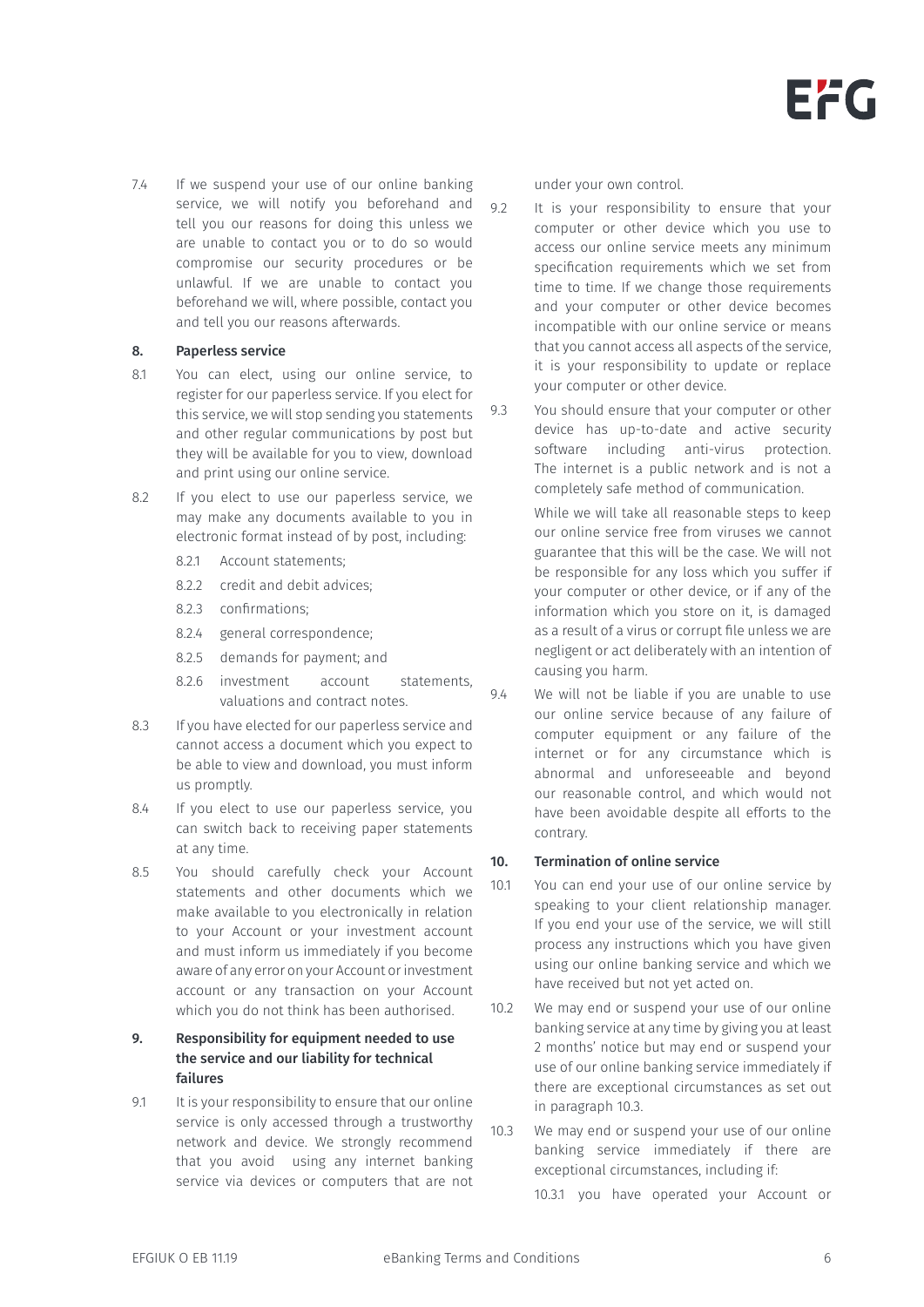7.4 If we suspend your use of our online banking service, we will notify you beforehand and tell you our reasons for doing this unless we are unable to contact you or to do so would compromise our security procedures or be unlawful. If we are unable to contact you beforehand we will, where possible, contact you and tell you our reasons afterwards.

#### 8. Paperless service

- 8.1 You can elect, using our online service, to register for our paperless service. If you elect for this service, we will stop sending you statements and other regular communications by post but they will be available for you to view, download and print using our online service.
- 8.2 If you elect to use our paperless service, we may make any documents available to you in electronic format instead of by post, including:
	- 8.2.1 Account statements;
	- 8.2.2 credit and debit advices;
	- 8.2.3 confirmations;
	- 8.2.4 general correspondence;
	- 8.2.5 demands for payment; and
	- 8.2.6 investment account statements, valuations and contract notes.
- 8.3 If you have elected for our paperless service and cannot access a document which you expect to be able to view and download, you must inform us promptly.
- 8.4 If you elect to use our paperless service, you can switch back to receiving paper statements at any time.
- 8.5 You should carefully check your Account statements and other documents which we make available to you electronically in relation to your Account or your investment account and must inform us immediately if you become aware of any error on your Account or investment account or any transaction on your Account which you do not think has been authorised.

### 9. Responsibility for equipment needed to use the service and our liability for technical failures

9.1 It is your responsibility to ensure that our online service is only accessed through a trustworthy network and device. We strongly recommend that you avoid using any internet banking service via devices or computers that are not under your own control.

9.2 It is your responsibility to ensure that your computer or other device which you use to access our online service meets any minimum specification requirements which we set from time to time. If we change those requirements and your computer or other device becomes incompatible with our online service or means that you cannot access all aspects of the service, it is your responsibility to update or replace your computer or other device.

9.3 You should ensure that your computer or other device has up-to-date and active security software including anti-virus protection. The internet is a public network and is not a completely safe method of communication.

> While we will take all reasonable steps to keep our online service free from viruses we cannot guarantee that this will be the case. We will not be responsible for any loss which you suffer if your computer or other device, or if any of the information which you store on it, is damaged as a result of a virus or corrupt file unless we are negligent or act deliberately with an intention of causing you harm.

9.4 We will not be liable if you are unable to use our online service because of any failure of computer equipment or any failure of the internet or for any circumstance which is abnormal and unforeseeable and beyond our reasonable control, and which would not have been avoidable despite all efforts to the contrary.

#### 10. Termination of online service

- 10.1 You can end your use of our online service by speaking to your client relationship manager. If you end your use of the service, we will still process any instructions which you have given using our online banking service and which we have received but not yet acted on.
- 10.2 We may end or suspend your use of our online banking service at any time by giving you at least 2 months' notice but may end or suspend your use of our online banking service immediately if there are exceptional circumstances as set out in paragraph 10.3.

10.3 We may end or suspend your use of our online banking service immediately if there are exceptional circumstances, including if:

10.3.1 you have operated your Account or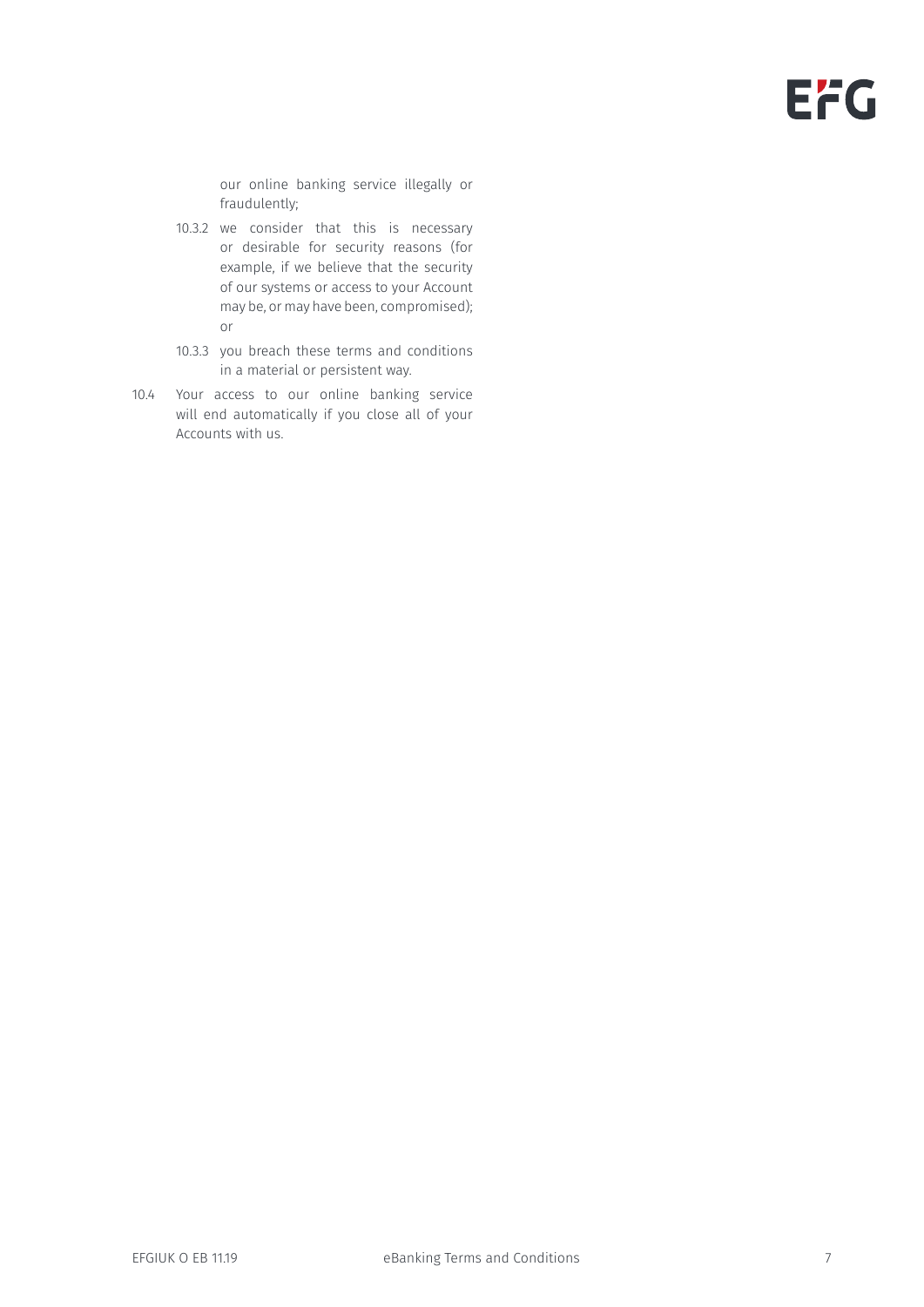# EFG

our online banking service illegally or fraudulently;

- 10.3.2 we consider that this is necessary or desirable for security reasons (for example, if we believe that the security of our systems or access to your Account may be, or may have been, compromised); or
- 10.3.3 you breach these terms and conditions in a material or persistent way.
- 10.4 Your access to our online banking service will end automatically if you close all of your Accounts with us.